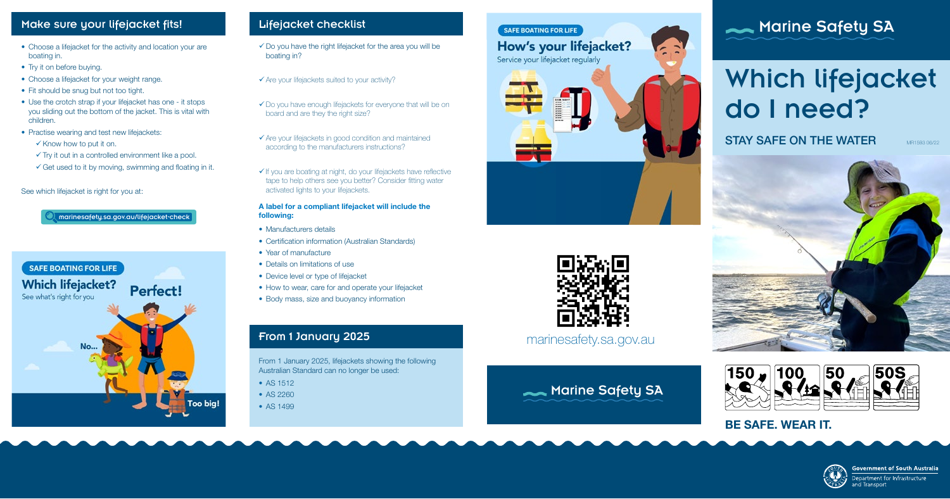## Lifejacket checklist

- $\checkmark$  Do you have the right lifejacket for the area you will be boating in?
- $\checkmark$  Are your lifejackets suited to your activity?
- $\checkmark$  Do you have enough lifejackets for everyone that will be on board and are they the right size?
- $\checkmark$  Are your lifejackets in good condition and maintained according to the manufacturers instructions?
- $\checkmark$  If you are boating at night, do your lifejackets have reflective tape to help others see you better? Consider fitting water activated lights to your lifejackets.

- Manufacturers details
- Certification information (Australian Standards)
- Year of manufacture
- Details on limitations of use
- Device level or type of lifejacket
- How to wear, care for and operate your lifejacket
- Body mass, size and buoyancy information

## From 1 January 2025 **From 1 January 2025 From 1 January 2025**

## Make sure your lifejacket fits!

- Choose a lifejacket for the activity and location your are boating in.
- Try it on before buying.
- Choose a lifejacket for your weight range.
- Fit should be snug but not too tight.
- Use the crotch strap if your lifejacket has one it stops you sliding out the bottom of the jacket. This is vital with children.
- Practise wearing and test new lifejackets:
	- $\checkmark$  Know how to put it on.
	- $\checkmark$  Try it out in a controlled environment like a pool.
	- $\checkmark$  Get used to it by moving, swimming and floating in it.

#### A label for a compliant lifejacket will include the following:

- AS 1512
- AS 2260
- AS 1499



SAFE BOATING FOR LIFE

Service your lifejacket regularly

How's your lifejacket?

#### See which lifejacket is right for you at:

# Which lifejacket do I need?

**STAY SAFE ON THE WATER MR159306/22** 





From 1 January 2025, lifejackets showing the following Australian Standard can no longer be used:





## **Marine Safety SA**

## BE SAFE. WEAR IT.



**Government of South Australia** 

epartment for Infrastructure าd Transport

marinesafety.sa.gov.au/lifejacket-check